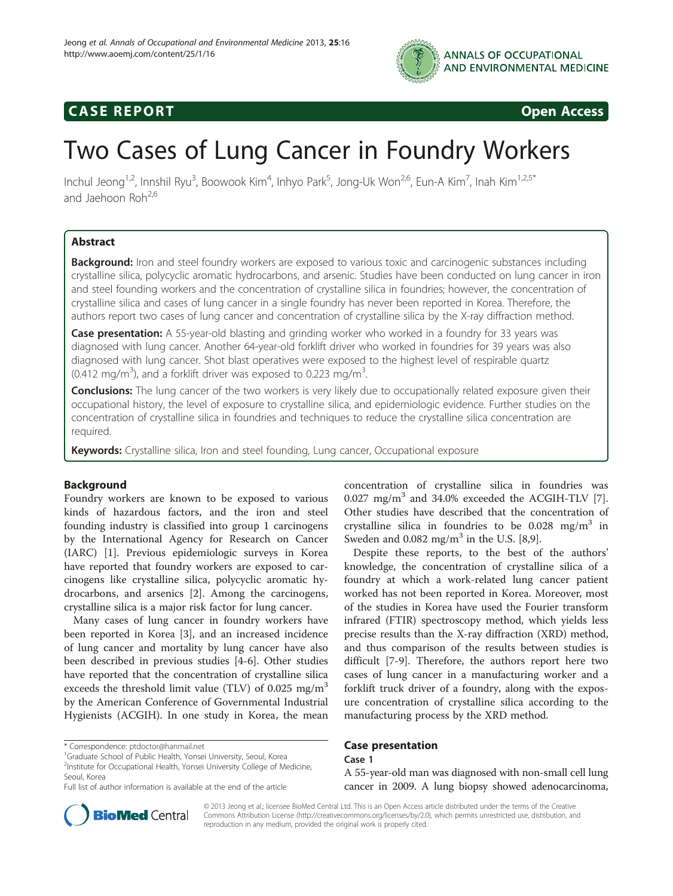

# **CASE REPORT CASE REPORT**

# Two Cases of Lung Cancer in Foundry Workers

Inchul Jeong<sup>1,2</sup>, Innshil Ryu<sup>3</sup>, Boowook Kim<sup>4</sup>, Inhyo Park<sup>5</sup>, Jong-Uk Won<sup>2,6</sup>, Eun-A Kim<sup>7</sup>, Inah Kim<sup>1,2,5\*</sup> and Jaehoon Roh<sup>2,6</sup>

# Abstract

**Background:** Iron and steel foundry workers are exposed to various toxic and carcinogenic substances including crystalline silica, polycyclic aromatic hydrocarbons, and arsenic. Studies have been conducted on lung cancer in iron and steel founding workers and the concentration of crystalline silica in foundries; however, the concentration of crystalline silica and cases of lung cancer in a single foundry has never been reported in Korea. Therefore, the authors report two cases of lung cancer and concentration of crystalline silica by the X-ray diffraction method.

Case presentation: A 55-year-old blasting and grinding worker who worked in a foundry for 33 years was diagnosed with lung cancer. Another 64-year-old forklift driver who worked in foundries for 39 years was also diagnosed with lung cancer. Shot blast operatives were exposed to the highest level of respirable quartz (0.412 mg/m<sup>3</sup>), and a forklift driver was exposed to 0.223 mg/m<sup>3</sup> .

Conclusions: The lung cancer of the two workers is very likely due to occupationally related exposure given their occupational history, the level of exposure to crystalline silica, and epidemiologic evidence. Further studies on the concentration of crystalline silica in foundries and techniques to reduce the crystalline silica concentration are required.

Keywords: Crystalline silica, Iron and steel founding, Lung cancer, Occupational exposure

# Background

Foundry workers are known to be exposed to various kinds of hazardous factors, and the iron and steel founding industry is classified into group 1 carcinogens by the International Agency for Research on Cancer (IARC) [\[1](#page-4-0)]. Previous epidemiologic surveys in Korea have reported that foundry workers are exposed to carcinogens like crystalline silica, polycyclic aromatic hydrocarbons, and arsenics [[2\]](#page-4-0). Among the carcinogens, crystalline silica is a major risk factor for lung cancer.

Many cases of lung cancer in foundry workers have been reported in Korea [\[3](#page-4-0)], and an increased incidence of lung cancer and mortality by lung cancer have also been described in previous studies [[4-6](#page-4-0)]. Other studies have reported that the concentration of crystalline silica exceeds the threshold limit value (TLV) of  $0.025 \text{ mg/m}^3$ by the American Conference of Governmental Industrial Hygienists (ACGIH). In one study in Korea, the mean

concentration of crystalline silica in foundries was  $0.027$  mg/m<sup>3</sup> and 34.0% exceeded the ACGIH-TLV [\[7](#page-4-0)]. Other studies have described that the concentration of crystalline silica in foundries to be  $0.028$  mg/m<sup>3</sup> in Sweden and  $0.082$  mg/m<sup>3</sup> in the U.S. [\[8,9](#page-4-0)].

Despite these reports, to the best of the authors' knowledge, the concentration of crystalline silica of a foundry at which a work-related lung cancer patient worked has not been reported in Korea. Moreover, most of the studies in Korea have used the Fourier transform infrared (FTIR) spectroscopy method, which yields less precise results than the X-ray diffraction (XRD) method, and thus comparison of the results between studies is difficult [[7-9\]](#page-4-0). Therefore, the authors report here two cases of lung cancer in a manufacturing worker and a forklift truck driver of a foundry, along with the exposure concentration of crystalline silica according to the manufacturing process by the XRD method.

# Case presentation

# Case 1

A 55-year-old man was diagnosed with non-small cell lung cancer in 2009. A lung biopsy showed adenocarcinoma,



© 2013 Jeong et al.; licensee BioMed Central Ltd. This is an Open Access article distributed under the terms of the Creative Commons Attribution License [\(http://creativecommons.org/licenses/by/2.0\)](http://creativecommons.org/licenses/by/2.0), which permits unrestricted use, distribution, and reproduction in any medium, provided the original work is properly cited.

<sup>\*</sup> Correspondence: [ptdoctor@hanmail.net](mailto:ptdoctor@hanmail.net) <sup>1</sup>

<sup>&</sup>lt;sup>1</sup>Graduate School of Public Health, Yonsei University, Seoul, Korea

<sup>&</sup>lt;sup>2</sup>Institute for Occupational Health, Yonsei University College of Medicine, Seoul, Korea

Full list of author information is available at the end of the article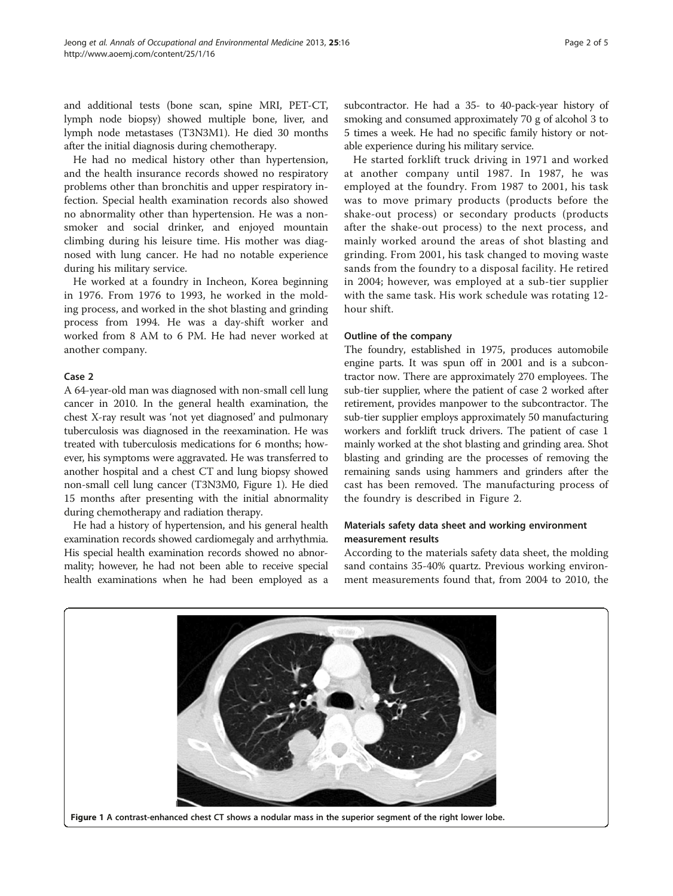and additional tests (bone scan, spine MRI, PET-CT, lymph node biopsy) showed multiple bone, liver, and lymph node metastases (T3N3M1). He died 30 months after the initial diagnosis during chemotherapy.

He had no medical history other than hypertension, and the health insurance records showed no respiratory problems other than bronchitis and upper respiratory infection. Special health examination records also showed no abnormality other than hypertension. He was a nonsmoker and social drinker, and enjoyed mountain climbing during his leisure time. His mother was diagnosed with lung cancer. He had no notable experience during his military service.

He worked at a foundry in Incheon, Korea beginning in 1976. From 1976 to 1993, he worked in the molding process, and worked in the shot blasting and grinding process from 1994. He was a day-shift worker and worked from 8 AM to 6 PM. He had never worked at another company.

# Case 2

A 64-year-old man was diagnosed with non-small cell lung cancer in 2010. In the general health examination, the chest X-ray result was 'not yet diagnosed' and pulmonary tuberculosis was diagnosed in the reexamination. He was treated with tuberculosis medications for 6 months; however, his symptoms were aggravated. He was transferred to another hospital and a chest CT and lung biopsy showed non-small cell lung cancer (T3N3M0, Figure 1). He died 15 months after presenting with the initial abnormality during chemotherapy and radiation therapy.

He had a history of hypertension, and his general health examination records showed cardiomegaly and arrhythmia. His special health examination records showed no abnormality; however, he had not been able to receive special health examinations when he had been employed as a

subcontractor. He had a 35- to 40-pack-year history of smoking and consumed approximately 70 g of alcohol 3 to 5 times a week. He had no specific family history or notable experience during his military service.

He started forklift truck driving in 1971 and worked at another company until 1987. In 1987, he was employed at the foundry. From 1987 to 2001, his task was to move primary products (products before the shake-out process) or secondary products (products after the shake-out process) to the next process, and mainly worked around the areas of shot blasting and grinding. From 2001, his task changed to moving waste sands from the foundry to a disposal facility. He retired in 2004; however, was employed at a sub-tier supplier with the same task. His work schedule was rotating 12 hour shift.

## Outline of the company

The foundry, established in 1975, produces automobile engine parts. It was spun off in 2001 and is a subcontractor now. There are approximately 270 employees. The sub-tier supplier, where the patient of case 2 worked after retirement, provides manpower to the subcontractor. The sub-tier supplier employs approximately 50 manufacturing workers and forklift truck drivers. The patient of case 1 mainly worked at the shot blasting and grinding area. Shot blasting and grinding are the processes of removing the remaining sands using hammers and grinders after the cast has been removed. The manufacturing process of the foundry is described in Figure [2.](#page-2-0)

# Materials safety data sheet and working environment measurement results

According to the materials safety data sheet, the molding sand contains 35-40% quartz. Previous working environment measurements found that, from 2004 to 2010, the

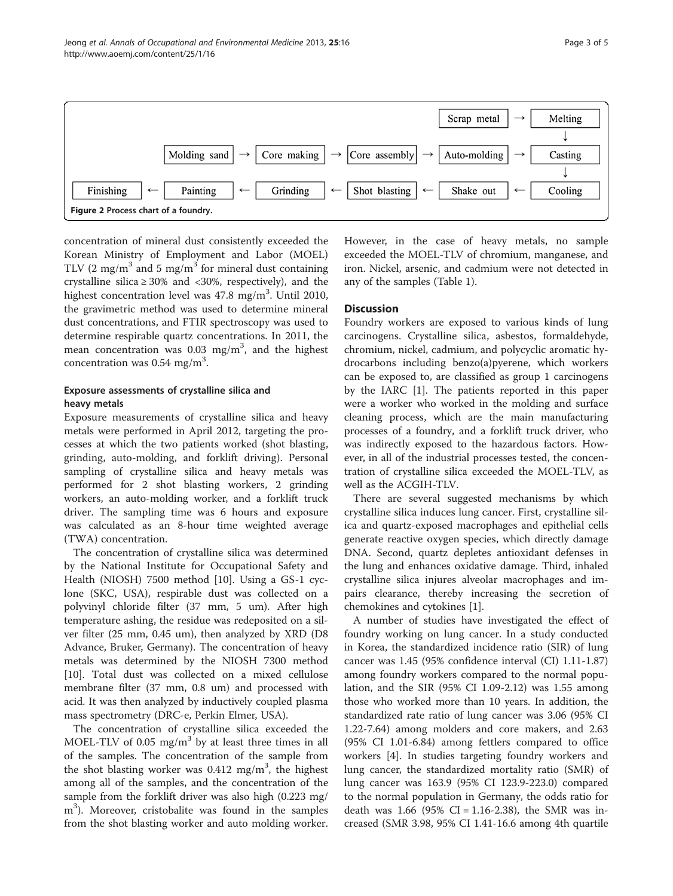<span id="page-2-0"></span>

concentration of mineral dust consistently exceeded the Korean Ministry of Employment and Labor (MOEL) TLV (2 mg/m<sup>3</sup> and 5 mg/m<sup>3</sup> for mineral dust containing crystalline silica  $\geq 30\%$  and <30%, respectively), and the highest concentration level was 47.8 mg/m<sup>3</sup>. Until 2010, the gravimetric method was used to determine mineral dust concentrations, and FTIR spectroscopy was used to determine respirable quartz concentrations. In 2011, the mean concentration was  $0.03$  mg/m<sup>3</sup>, and the highest concentration was  $0.54$  mg/m<sup>3</sup>.

# Exposure assessments of crystalline silica and heavy metals

Exposure measurements of crystalline silica and heavy metals were performed in April 2012, targeting the processes at which the two patients worked (shot blasting, grinding, auto-molding, and forklift driving). Personal sampling of crystalline silica and heavy metals was performed for 2 shot blasting workers, 2 grinding workers, an auto-molding worker, and a forklift truck driver. The sampling time was 6 hours and exposure was calculated as an 8-hour time weighted average (TWA) concentration.

The concentration of crystalline silica was determined by the National Institute for Occupational Safety and Health (NIOSH) 7500 method [[10\]](#page-4-0). Using a GS-1 cyclone (SKC, USA), respirable dust was collected on a polyvinyl chloride filter (37 mm, 5 um). After high temperature ashing, the residue was redeposited on a silver filter (25 mm, 0.45 um), then analyzed by XRD (D8 Advance, Bruker, Germany). The concentration of heavy metals was determined by the NIOSH 7300 method [[10\]](#page-4-0). Total dust was collected on a mixed cellulose membrane filter (37 mm, 0.8 um) and processed with acid. It was then analyzed by inductively coupled plasma mass spectrometry (DRC-e, Perkin Elmer, USA).

The concentration of crystalline silica exceeded the MOEL-TLV of 0.05 mg/ $m<sup>3</sup>$  by at least three times in all of the samples. The concentration of the sample from the shot blasting worker was  $0.412$  mg/m<sup>3</sup>, the highest among all of the samples, and the concentration of the sample from the forklift driver was also high (0.223 mg/ m<sup>3</sup>). Moreover, cristobalite was found in the samples from the shot blasting worker and auto molding worker.

However, in the case of heavy metals, no sample exceeded the MOEL-TLV of chromium, manganese, and iron. Nickel, arsenic, and cadmium were not detected in any of the samples (Table [1](#page-3-0)).

# **Discussion**

Foundry workers are exposed to various kinds of lung carcinogens. Crystalline silica, asbestos, formaldehyde, chromium, nickel, cadmium, and polycyclic aromatic hydrocarbons including benzo(a)pyerene, which workers can be exposed to, are classified as group 1 carcinogens by the IARC [[1](#page-4-0)]. The patients reported in this paper were a worker who worked in the molding and surface cleaning process, which are the main manufacturing processes of a foundry, and a forklift truck driver, who was indirectly exposed to the hazardous factors. However, in all of the industrial processes tested, the concentration of crystalline silica exceeded the MOEL-TLV, as well as the ACGIH-TLV.

There are several suggested mechanisms by which crystalline silica induces lung cancer. First, crystalline silica and quartz-exposed macrophages and epithelial cells generate reactive oxygen species, which directly damage DNA. Second, quartz depletes antioxidant defenses in the lung and enhances oxidative damage. Third, inhaled crystalline silica injures alveolar macrophages and impairs clearance, thereby increasing the secretion of chemokines and cytokines [\[1](#page-4-0)].

A number of studies have investigated the effect of foundry working on lung cancer. In a study conducted in Korea, the standardized incidence ratio (SIR) of lung cancer was 1.45 (95% confidence interval (CI) 1.11-1.87) among foundry workers compared to the normal population, and the SIR (95% CI 1.09-2.12) was 1.55 among those who worked more than 10 years. In addition, the standardized rate ratio of lung cancer was 3.06 (95% CI 1.22-7.64) among molders and core makers, and 2.63 (95% CI 1.01-6.84) among fettlers compared to office workers [\[4](#page-4-0)]. In studies targeting foundry workers and lung cancer, the standardized mortality ratio (SMR) of lung cancer was 163.9 (95% CI 123.9-223.0) compared to the normal population in Germany, the odds ratio for death was 1.66 (95% CI = 1.16-2.38), the SMR was increased (SMR 3.98, 95% CI 1.41-16.6 among 4th quartile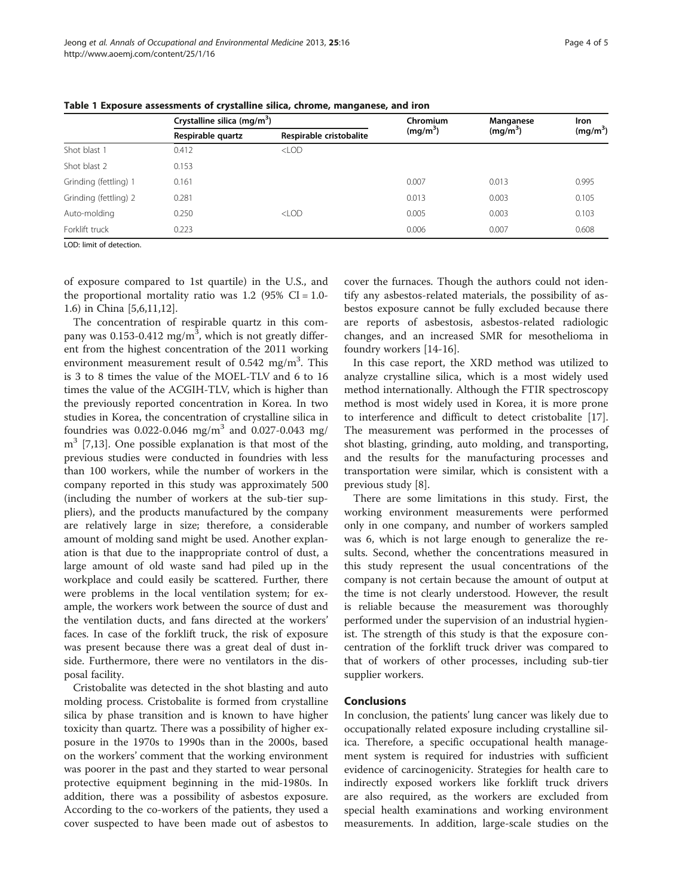|                       | Crystalline silica (mg/m <sup>3</sup> ) |                         | Chromium             | Manganese  | Iron                 |
|-----------------------|-----------------------------------------|-------------------------|----------------------|------------|----------------------|
|                       | Respirable quartz                       | Respirable cristobalite | (mq/m <sup>3</sup> ) | $(mq/m^3)$ | (mg/m <sup>3</sup> ) |
| Shot blast 1          | 0.412                                   | $<$ LOD                 |                      |            |                      |
| Shot blast 2          | 0.153                                   |                         |                      |            |                      |
| Grinding (fettling) 1 | 0.161                                   |                         | 0.007                | 0.013      | 0.995                |
| Grinding (fettling) 2 | 0.281                                   |                         | 0.013                | 0.003      | 0.105                |
| Auto-molding          | 0.250                                   | $<$ LOD                 | 0.005                | 0.003      | 0.103                |
| Forklift truck        | 0.223                                   |                         | 0.006                | 0.007      | 0.608                |
|                       |                                         |                         |                      |            |                      |

<span id="page-3-0"></span>Table 1 Exposure assessments of crystalline silica, chrome, manganese, and iron

LOD: limit of detection.

of exposure compared to 1st quartile) in the U.S., and the proportional mortality ratio was 1.2 (95%  $CI = 1.0$ -1.6) in China [\[5,6,11,12](#page-4-0)].

The concentration of respirable quartz in this company was  $0.153$ -0.412 mg/m<sup>3</sup>, which is not greatly different from the highest concentration of the 2011 working environment measurement result of 0.542 mg/m<sup>3</sup>. This is 3 to 8 times the value of the MOEL-TLV and 6 to 16 times the value of the ACGIH-TLV, which is higher than the previously reported concentration in Korea. In two studies in Korea, the concentration of crystalline silica in foundries was 0.022-0.046 mg/m<sup>3</sup> and 0.027-0.043 mg/  $m<sup>3</sup>$  [[7,13\]](#page-4-0). One possible explanation is that most of the previous studies were conducted in foundries with less than 100 workers, while the number of workers in the company reported in this study was approximately 500 (including the number of workers at the sub-tier suppliers), and the products manufactured by the company are relatively large in size; therefore, a considerable amount of molding sand might be used. Another explanation is that due to the inappropriate control of dust, a large amount of old waste sand had piled up in the workplace and could easily be scattered. Further, there were problems in the local ventilation system; for example, the workers work between the source of dust and the ventilation ducts, and fans directed at the workers' faces. In case of the forklift truck, the risk of exposure was present because there was a great deal of dust inside. Furthermore, there were no ventilators in the disposal facility.

Cristobalite was detected in the shot blasting and auto molding process. Cristobalite is formed from crystalline silica by phase transition and is known to have higher toxicity than quartz. There was a possibility of higher exposure in the 1970s to 1990s than in the 2000s, based on the workers' comment that the working environment was poorer in the past and they started to wear personal protective equipment beginning in the mid-1980s. In addition, there was a possibility of asbestos exposure. According to the co-workers of the patients, they used a cover suspected to have been made out of asbestos to

cover the furnaces. Though the authors could not identify any asbestos-related materials, the possibility of asbestos exposure cannot be fully excluded because there are reports of asbestosis, asbestos-related radiologic changes, and an increased SMR for mesothelioma in foundry workers [\[14](#page-4-0)-[16](#page-4-0)].

In this case report, the XRD method was utilized to analyze crystalline silica, which is a most widely used method internationally. Although the FTIR spectroscopy method is most widely used in Korea, it is more prone to interference and difficult to detect cristobalite [\[17](#page-4-0)]. The measurement was performed in the processes of shot blasting, grinding, auto molding, and transporting, and the results for the manufacturing processes and transportation were similar, which is consistent with a previous study [\[8](#page-4-0)].

There are some limitations in this study. First, the working environment measurements were performed only in one company, and number of workers sampled was 6, which is not large enough to generalize the results. Second, whether the concentrations measured in this study represent the usual concentrations of the company is not certain because the amount of output at the time is not clearly understood. However, the result is reliable because the measurement was thoroughly performed under the supervision of an industrial hygienist. The strength of this study is that the exposure concentration of the forklift truck driver was compared to that of workers of other processes, including sub-tier supplier workers.

#### Conclusions

In conclusion, the patients' lung cancer was likely due to occupationally related exposure including crystalline silica. Therefore, a specific occupational health management system is required for industries with sufficient evidence of carcinogenicity. Strategies for health care to indirectly exposed workers like forklift truck drivers are also required, as the workers are excluded from special health examinations and working environment measurements. In addition, large-scale studies on the